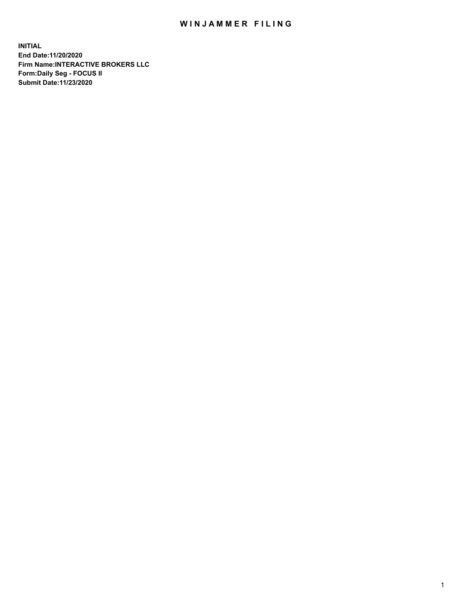## WIN JAMMER FILING

**INITIAL End Date:11/20/2020 Firm Name:INTERACTIVE BROKERS LLC Form:Daily Seg - FOCUS II Submit Date:11/23/2020**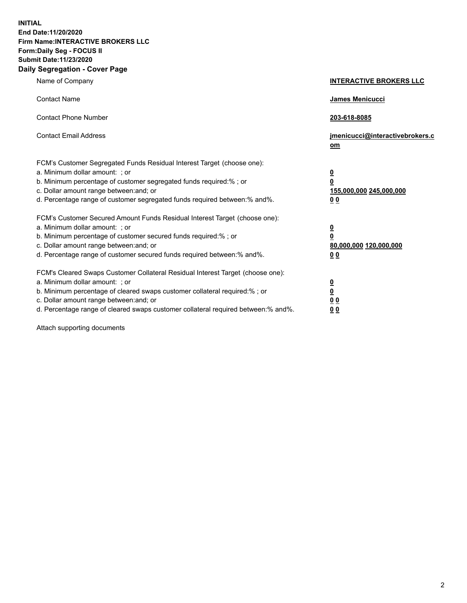**INITIAL End Date:11/20/2020 Firm Name:INTERACTIVE BROKERS LLC Form:Daily Seg - FOCUS II Submit Date:11/23/2020 Daily Segregation - Cover Page**

| Name of Company                                                                                                                                                                                                                                                                                                                | <b>INTERACTIVE BROKERS LLC</b>                                                                           |
|--------------------------------------------------------------------------------------------------------------------------------------------------------------------------------------------------------------------------------------------------------------------------------------------------------------------------------|----------------------------------------------------------------------------------------------------------|
| <b>Contact Name</b>                                                                                                                                                                                                                                                                                                            | James Menicucci                                                                                          |
| <b>Contact Phone Number</b>                                                                                                                                                                                                                                                                                                    | 203-618-8085                                                                                             |
| <b>Contact Email Address</b>                                                                                                                                                                                                                                                                                                   | jmenicucci@interactivebrokers.c<br>om                                                                    |
| FCM's Customer Segregated Funds Residual Interest Target (choose one):<br>a. Minimum dollar amount: ; or<br>b. Minimum percentage of customer segregated funds required:% ; or<br>c. Dollar amount range between: and; or<br>d. Percentage range of customer segregated funds required between:% and%.                         | $\overline{\mathbf{0}}$<br>$\overline{\mathbf{0}}$<br>155,000,000 245,000,000<br>0 <sub>0</sub>          |
| FCM's Customer Secured Amount Funds Residual Interest Target (choose one):<br>a. Minimum dollar amount: ; or<br>b. Minimum percentage of customer secured funds required:%; or<br>c. Dollar amount range between: and; or<br>d. Percentage range of customer secured funds required between:% and%.                            | $\overline{\mathbf{0}}$<br>$\overline{\mathbf{0}}$<br>80,000,000 120,000,000<br>00                       |
| FCM's Cleared Swaps Customer Collateral Residual Interest Target (choose one):<br>a. Minimum dollar amount: ; or<br>b. Minimum percentage of cleared swaps customer collateral required:% ; or<br>c. Dollar amount range between: and; or<br>d. Percentage range of cleared swaps customer collateral required between:% and%. | $\overline{\mathbf{0}}$<br>$\underline{\mathbf{0}}$<br>$\underline{0}$ $\underline{0}$<br>0 <sub>0</sub> |

Attach supporting documents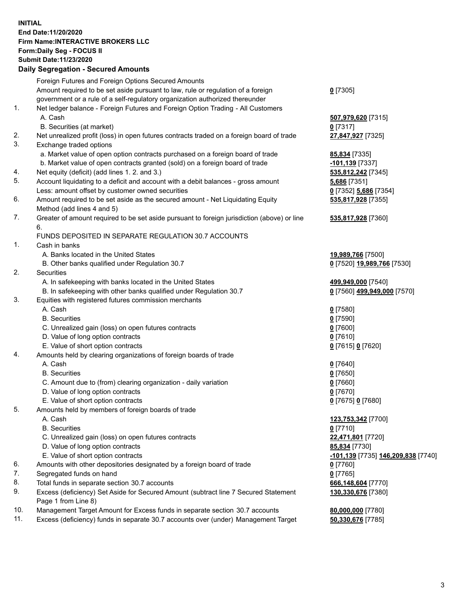**INITIAL End Date:11/20/2020 Firm Name:INTERACTIVE BROKERS LLC Form:Daily Seg - FOCUS II Submit Date:11/23/2020 Daily Segregation - Secured Amounts**

|     | Foreign Futures and Foreign Options Secured Amounts                                         |                                                  |
|-----|---------------------------------------------------------------------------------------------|--------------------------------------------------|
|     | Amount required to be set aside pursuant to law, rule or regulation of a foreign            | $0$ [7305]                                       |
|     | government or a rule of a self-regulatory organization authorized thereunder                |                                                  |
| 1.  | Net ledger balance - Foreign Futures and Foreign Option Trading - All Customers             |                                                  |
|     | A. Cash                                                                                     | 507,979,620 [7315]                               |
|     | B. Securities (at market)                                                                   | $0$ [7317]                                       |
| 2.  | Net unrealized profit (loss) in open futures contracts traded on a foreign board of trade   | 27,847,927 [7325]                                |
| 3.  | Exchange traded options                                                                     |                                                  |
|     | a. Market value of open option contracts purchased on a foreign board of trade              | 85,834 [7335]                                    |
|     | b. Market value of open contracts granted (sold) on a foreign board of trade                | -101,139 [7337]                                  |
| 4.  | Net equity (deficit) (add lines 1. 2. and 3.)                                               | 535,812,242 [7345]                               |
| 5.  | Account liquidating to a deficit and account with a debit balances - gross amount           | 5,686 [7351]                                     |
|     | Less: amount offset by customer owned securities                                            | 0 [7352] 5,686 [7354]                            |
| 6.  | Amount required to be set aside as the secured amount - Net Liquidating Equity              | 535,817,928 [7355]                               |
|     | Method (add lines 4 and 5)                                                                  |                                                  |
| 7.  | Greater of amount required to be set aside pursuant to foreign jurisdiction (above) or line | 535,817,928 [7360]                               |
|     | 6.                                                                                          |                                                  |
|     | FUNDS DEPOSITED IN SEPARATE REGULATION 30.7 ACCOUNTS                                        |                                                  |
| 1.  | Cash in banks                                                                               |                                                  |
|     | A. Banks located in the United States                                                       | 19,989,766 [7500]                                |
|     | B. Other banks qualified under Regulation 30.7                                              | 0 [7520] 19,989,766 [7530]                       |
| 2.  | Securities                                                                                  |                                                  |
|     | A. In safekeeping with banks located in the United States                                   | 499,949,000 [7540]                               |
|     | B. In safekeeping with other banks qualified under Regulation 30.7                          | 0 [7560] 499,949,000 [7570]                      |
| 3.  | Equities with registered futures commission merchants                                       |                                                  |
|     | A. Cash                                                                                     | $0$ [7580]                                       |
|     | <b>B.</b> Securities                                                                        | $0$ [7590]                                       |
|     | C. Unrealized gain (loss) on open futures contracts                                         | $0$ [7600]                                       |
|     | D. Value of long option contracts                                                           | $0$ [7610]                                       |
|     | E. Value of short option contracts                                                          | 0 [7615] 0 [7620]                                |
| 4.  | Amounts held by clearing organizations of foreign boards of trade                           |                                                  |
|     | A. Cash                                                                                     | $0$ [7640]                                       |
|     | <b>B.</b> Securities                                                                        | $0$ [7650]                                       |
|     | C. Amount due to (from) clearing organization - daily variation                             | $0$ [7660]                                       |
|     | D. Value of long option contracts                                                           | $0$ [7670]                                       |
|     | E. Value of short option contracts                                                          | 0 [7675] 0 [7680]                                |
| 5.  | Amounts held by members of foreign boards of trade                                          |                                                  |
|     | A. Cash                                                                                     | 123,753,342 [7700]                               |
|     | <b>B.</b> Securities                                                                        | $0$ [7710]                                       |
|     | C. Unrealized gain (loss) on open futures contracts                                         | 22,471,801 [7720]                                |
|     | D. Value of long option contracts                                                           | 85,834 [7730]                                    |
|     | E. Value of short option contracts                                                          | <u>-101,139</u> [7735] <u>146,209,838</u> [7740] |
| 6.  | Amounts with other depositories designated by a foreign board of trade                      | $0$ [7760]                                       |
| 7.  | Segregated funds on hand                                                                    | $0$ [7765]                                       |
| 8.  | Total funds in separate section 30.7 accounts                                               | 666,148,604 [7770]                               |
| 9.  | Excess (deficiency) Set Aside for Secured Amount (subtract line 7 Secured Statement         | 130,330,676 [7380]                               |
|     | Page 1 from Line 8)                                                                         |                                                  |
| 10. | Management Target Amount for Excess funds in separate section 30.7 accounts                 | 80,000,000 [7780]                                |
| 11. | Excess (deficiency) funds in separate 30.7 accounts over (under) Management Target          | 50,330,676 [7785]                                |
|     |                                                                                             |                                                  |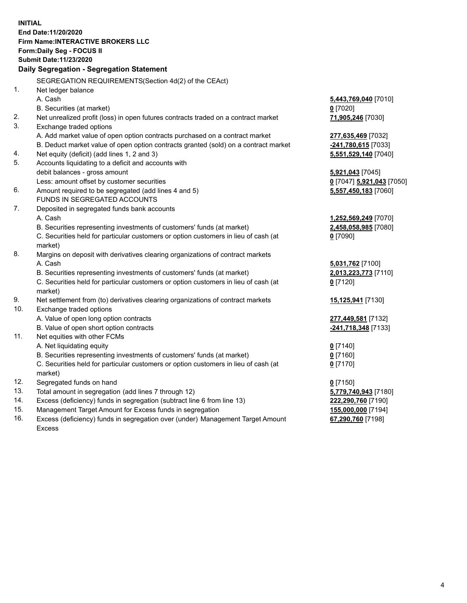**INITIAL End Date:11/20/2020 Firm Name:INTERACTIVE BROKERS LLC Form:Daily Seg - FOCUS II Submit Date:11/23/2020 Daily Segregation - Segregation Statement** SEGREGATION REQUIREMENTS(Section 4d(2) of the CEAct) 1. Net ledger balance A. Cash **5,443,769,040** [7010] B. Securities (at market) **0** [7020] 2. Net unrealized profit (loss) in open futures contracts traded on a contract market **71,905,246** [7030] 3. Exchange traded options A. Add market value of open option contracts purchased on a contract market **277,635,469** [7032] B. Deduct market value of open option contracts granted (sold) on a contract market **-241,780,615** [7033] 4. Net equity (deficit) (add lines 1, 2 and 3) **5,551,529,140** [7040] 5. Accounts liquidating to a deficit and accounts with debit balances - gross amount **5,921,043** [7045] Less: amount offset by customer securities **0** [7047] **5,921,043** [7050] 6. Amount required to be segregated (add lines 4 and 5) **5,557,450,183** [7060] FUNDS IN SEGREGATED ACCOUNTS 7. Deposited in segregated funds bank accounts A. Cash **1,252,569,249** [7070] B. Securities representing investments of customers' funds (at market) **2,458,058,985** [7080] C. Securities held for particular customers or option customers in lieu of cash (at market) **0** [7090] 8. Margins on deposit with derivatives clearing organizations of contract markets A. Cash **5,031,762** [7100] B. Securities representing investments of customers' funds (at market) **2,013,223,773** [7110] C. Securities held for particular customers or option customers in lieu of cash (at market) **0** [7120] 9. Net settlement from (to) derivatives clearing organizations of contract markets **15,125,941** [7130] 10. Exchange traded options A. Value of open long option contracts **277,449,581** [7132] B. Value of open short option contracts **-241,718,348** [7133] 11. Net equities with other FCMs A. Net liquidating equity **0** [7140] B. Securities representing investments of customers' funds (at market) **0** [7160] C. Securities held for particular customers or option customers in lieu of cash (at market) **0** [7170] 12. Segregated funds on hand **0** [7150] 13. Total amount in segregation (add lines 7 through 12) **5,779,740,943** [7180] 14. Excess (deficiency) funds in segregation (subtract line 6 from line 13) **222,290,760** [7190] 15. Management Target Amount for Excess funds in segregation **155,000,000** [7194] 16. Excess (deficiency) funds in segregation over (under) Management Target Amount **67,290,760** [7198]

Excess